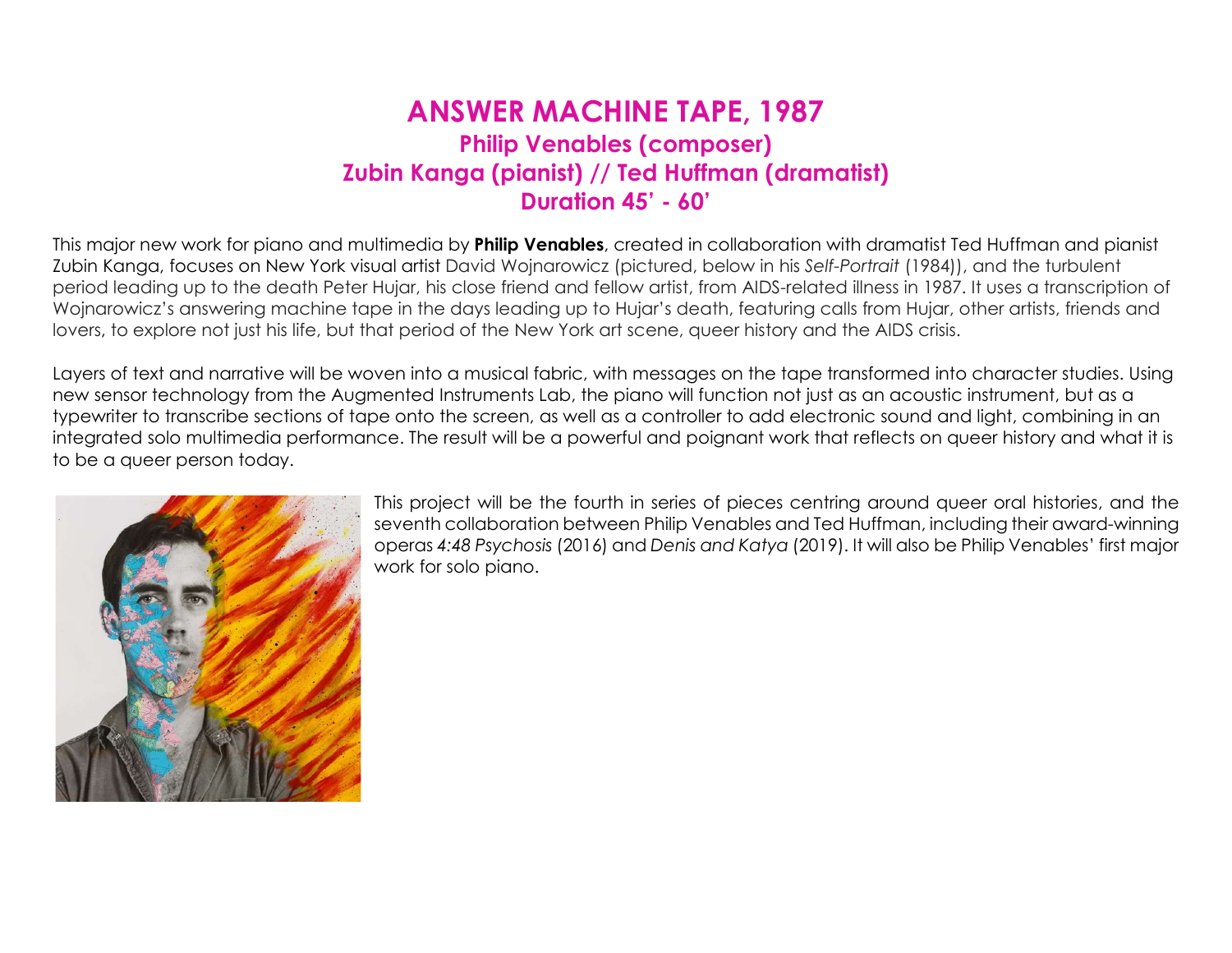## ANSWER MACHINE TAPE, 1987 Philip Venables (composer) Zubin Kanga (pianist) // Ted Huffman (dramatist) Duration 45' - 60'

This major new work for piano and multimedia by **Philip Venables**, created in collaboration with dramatist Ted Huffman and pianist Zubin Kanga, focuses on New York visual artist David Wojnarowicz (pictured, below in his Self-Portrait (1984)), and the turbulent period leading up to the death Peter Hujar, his close friend and fellow artist, from AIDS-related illness in 1987. It uses a transcription of Wojnarowicz's answering machine tape in the days leading up to Hujar's death, featuring calls from Hujar, other artists, friends and lovers, to explore not just his life, but that period of the New York art scene, queer history and the AIDS crisis.

Layers of text and narrative will be woven into a musical fabric, with messages on the tape transformed into character studies. Using new sensor technology from the Augmented Instruments Lab, the piano will function not just as an acoustic instrument, but as a typewriter to transcribe sections of tape onto the screen, as well as a controller to add electronic sound and light, combining in an integrated solo multimedia performance. The result will be a powerful and poignant work that reflects on queer history and what it is to be a queer person today.



This project will be the fourth in series of pieces centring around queer oral histories, and the seventh collaboration between Philip Venables and Ted Huffman, including their award-winning operas 4:48 Psychosis (2016) and Denis and Katya (2019). It will also be Philip Venables' first major work for solo piano.